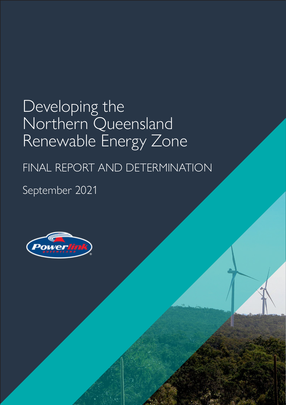# Developing the Northern Queensland Renewable Energy Zone

## FINAL REPORT AND DETERMINATION

## September 2021

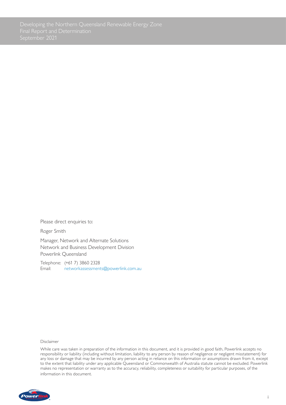Please direct enquiries to:

Roger Smith

Manager, Network and Alternate Solutions Network and Business Development Division Powerlink Queensland

Telephone: (+61 7) 3860 2328 Email: networkassessments[@powerlink.com.au](mailto:networkassessments%40powerlink.com.au?subject=Overview%20of%20Asset%20Risk%20Cost%20Methodology)

#### Disclaimer

While care was taken in preparation of the information in this document, and it is provided in good faith, Powerlink accepts no responsibility or liability (including without limitation, liability to any person by reason of negligence or negligent misstatement) for any loss or damage that may be incurred by any person acting in reliance on this information or assumptions drawn from it, except to the extent that liability under any applicable Queensland or Commonwealth of Australia statute cannot be excluded. Powerlink makes no representation or warranty as to the accuracy, reliability, completeness or suitability for particular purposes, of the information in this document.

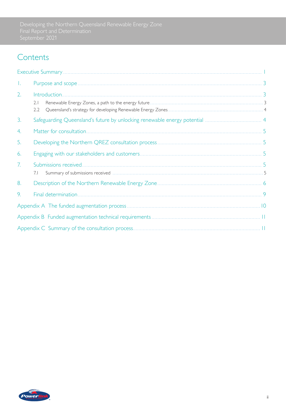### **Contents**

| Т. |            |  |
|----|------------|--|
| 2. | 2.1<br>2.2 |  |
| 3. |            |  |
| 4. |            |  |
| 5. |            |  |
| 6. |            |  |
| 7. | 7.1        |  |
| 8. |            |  |
| 9. |            |  |
|    |            |  |
|    |            |  |
|    |            |  |

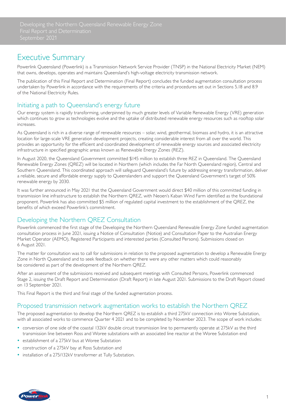### <span id="page-3-0"></span>Executive Summary

Powerlink Queensland (Powerlink) is a Transmission Network Service Provider (TNSP) in the National Electricity Market (NEM) that owns, develops, operates and maintains Queensland's high-voltage electricity transmission network.

The publication of this Final Report and Determination (Final Report) concludes the funded augmentation consultation process undertaken by Powerlink in accordance with the requirements of the criteria and procedures set out in Sections 5.18 and 8.9 of the National Electricity Rules.

### Initiating a path to Queensland's energy future

Our energy system is rapidly transforming, underpinned by much greater levels of Variable Renewable Energy (VRE) generation which continues to grow as technologies evolve and the uptake of distributed renewable energy resources such as rooftop solar increases.

As Queensland is rich in a diverse range of renewable resources – solar, wind, geothermal, biomass and hydro, it is an attractive location for large-scale VRE generation development projects, creating considerable interest from all over the world. This provides an opportunity for the efficient and coordinated development of renewable energy sources and associated electricity infrastructure in specified geographic areas known as Renewable Energy Zones (REZ).

In August 2020, the Queensland Government committed \$145 million to establish three REZ in Queensland. The Queensland Renewable Energy Zones (QREZ) will be located in Northern (which includes the Far North Queensland region), Central and Southern Queensland. This coordinated approach will safeguard Queensland's future by addressing energy transformation, deliver a reliable, secure and affordable energy supply to Queenslanders and support the Queensland Government's target of 50% renewable energy by 2030.

It was further announced in May 2021 that the Queensland Government would direct \$40 million of this committed funding in transmission line infrastructure to establish the Northern QREZ, with Neoen's Kaban Wind Farm identified as the foundational proponent. Powerlink has also committed \$5 million of regulated capital investment to the establishment of the QREZ, the benefits of which exceed Powerlink's commitment.

### Developing the Northern QREZ Consultation

Powerlink commenced the first stage of the Developing the Northern Queensland Renewable Energy Zone funded augmentation consultation process in June 2021, issuing a Notice of Consultation (Notice) and Consultation Paper to the Australian Energy Market Operator (AEMO), Registered Participants and interested parties (Consulted Persons). Submissions closed on 6 August 2021.

The matter for consultation was to call for submissions in relation to the proposed augmentation to develop a Renewable Energy Zone in North Queensland and to seek feedback on whether there were any other matters which could reasonably be considered as part of the development of the Northern QREZ.

After an assessment of the submissions received and subsequent meetings with Consulted Persons, Powerlink commenced Stage 2, issuing the Draft Report and Determination (Draft Report) in late August 2021. Submissions to the Draft Report closed on 13 September 2021.

This Final Report is the third and final stage of the funded augmentation process.

### Proposed transmission network augmentation works to establish the Northern QREZ

The proposed augmentation to develop the Northern QREZ is to establish a third 275kV connection into Woree Substation, with all associated works to commence Quarter 4 2021 and to be completed by November 2023. The scope of work includes:

- conversion of one side of the coastal 132kV double circuit transmission line to permanently operate at 275kV as the third transmission line between Ross and Woree substations with an associated line reactor at the Woree Substation end
- establishment of a 275kV bus at Woree Substation
- construction of a 275kV bay at Ross Substation and
- installation of a 275/132kV transformer at Tully Substation.

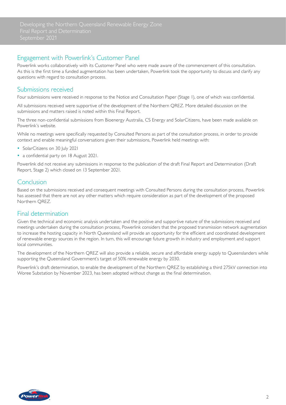### Engagement with Powerlink's Customer Panel

Powerlink works collaboratively with its Customer Panel who were made aware of the commencement of this consultation. As this is the first time a funded augmentation has been undertaken, Powerlink took the opportunity to discuss and clarify any questions with regard to consultation process.

#### Submissions received

Four submissions were received in response to the Notice and Consultation Paper (Stage 1), one of which was confidential.

All submissions received were supportive of the development of the Northern QREZ. More detailed discussion on the submissions and matters raised is noted within this Final Report.

The three non-confidential submissions from Bioenergy Australia, CS Energy and SolarCitizens, have been made available on Powerlink's website.

While no meetings were specifically requested by Consulted Persons as part of the consultation process, in order to provide context and enable meaningful conversations given their submissions, Powerlink held meetings with:

- SolarCitizens on 30 July 2021
- a confidential party on 18 August 2021.

Powerlink did not receive any submissions in response to the publication of the draft Final Report and Determination (Draft Report, Stage 2) which closed on 13 September 2021.

#### Conclusion

Based on the submissions received and consequent meetings with Consulted Persons during the consultation process, Powerlink has assessed that there are not any other matters which require consideration as part of the development of the proposed Northern QREZ.

### Final determination

Given the technical and economic analysis undertaken and the positive and supportive nature of the submissions received and meetings undertaken during the consultation process, Powerlink considers that the proposed transmission network augmentation to increase the hosting capacity in North Queensland will provide an opportunity for the efficient and coordinated development of renewable energy sources in the region. In turn, this will encourage future growth in industry and employment and support local communities.

The development of the Northern QREZ will also provide a reliable, secure and affordable energy supply to Queenslanders while supporting the Queensland Government's target of 50% renewable energy by 2030.

Powerlink's draft determination, to enable the development of the Northern QREZ by establishing a third 275kV connection into Woree Substation by November 2023, has been adopted without change as the final determination.

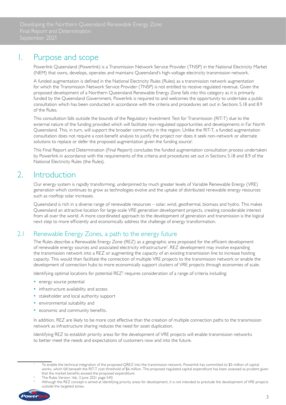### <span id="page-5-0"></span>1. Purpose and scope

Powerlink Queensland (Powerlink) is a Transmission Network Service Provider (TNSP) in the National Electricity Market (NEM) that owns, develops, operates and maintains Queensland's high-voltage electricity transmission network.

A funded augmentation is defined in the National Electricity Rules (Rules) as a transmission network augmentation for which the Transmission Network Service Provider (TNSP) is not entitled to receive regulated revenue. Given the proposed development of a Northern Queensland Renewable Energy Zone falls into this category as it is primarily funded by the Queensland Government, Powerlink is required to and welcomes the opportunity to undertake a public consultation which has been conducted in accordance with the criteria and procedures set out in Sections 5.18 and 8.9 of the Rules.

This consultation falls outside the bounds of the Regulatory Investment Test for Transmission (RIT-T) due to the external nature of the funding provided which will facilitate non-regulated opportunities and developments in Far North Queensland. This, in turn, will support the broader community in the region. Unlike the RIT-T, a funded augmentation consultation does not require a cost-benefit analysis to justify the project nor does it seek non-network or alternate solutions to replace or defer the proposed augmentation given the funding source<sup>1</sup>.

This Final Report and Determination (Final Report) concludes the funded augmentation consultation process undertaken by Powerlink in accordance with the requirements of the criteria and procedures set out in Sections 5.18 and 8.9 of the National Electricity Rules (the Rules).

### 2. Introduction

Our energy system is rapidly transforming, underpinned by much greater levels of Variable Renewable Energy (VRE) generation which continues to grow as technologies evolve and the uptake of distributed renewable energy resources such as rooftop solar increases.

Queensland is rich in a diverse range of renewable resources – solar, wind, geothermal, biomass and hydro. This makes Queensland an attractive location for large-scale VRE generation development projects, creating considerable interest from all over the world. A more coordinated approach to the development of generation and transmission is the logical next step to more efficiently and economically address the challenge of energy transformation.

### 2.1 Renewable Energy Zones, a path to the energy future

The Rules describe a Renewable Energy Zone (REZ) as a geographic area proposed for the efficient development of renewable energy sources and associated electricity infrastructure<sup>2</sup>. REZ development may involve expanding the transmission network into a REZ or augmenting the capacity of an existing transmission line to increase hosting capacity. This would then facilitate the connection of multiple VRE projects to the transmission network or enable the development of connection hubs to more economically support clusters of VRE projects through economies of scale.

Identifying optimal locations for potential REZ<sup>3</sup> requires consideration of a range of criteria including:

- energy source potential
- infrastructure availability and access
- stakeholder and local authority support
- environmental suitability and
- economic and community benefits.

In addition, REZ are likely to be more cost effective than the creation of multiple connection paths to the transmission network as infrastructure sharing reduces the need for asset duplication.

Identifying REZ to establish priority areas for the development of VRE projects will enable transmission networks to better meet the needs and expectations of customers now and into the future.

<sup>3</sup> Although the REZ concept is aimed at identifying priority areas for development, it is not intended to preclude the development of VRE projects outside the targeted zones.



To enable the technical integration of the proposed QREZ into the transmission network, Powerlink has committed to \$5 million of capital works, which fall beneath the RIT-T cost threshold of \$6 million. The proposed regulated capital expenditure has been assessed as prudent given that the market benefits exceed the proposed expenditure.

The Rules Version 166, 3 June 2021 page 540.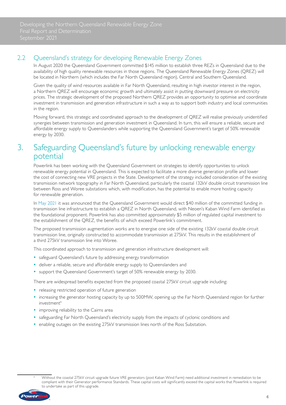### <span id="page-6-0"></span>2.2 Queensland's strategy for developing Renewable Energy Zones

In August 2020 the Queensland Government committed \$145 million to establish three REZs in Queensland due to the availability of high quality renewable resources in those regions. The Queensland Renewable Energy Zones (QREZ) will be located in Northern (which includes the Far North Queensland region), Central and Southern Queensland.

Given the quality of wind resources available in Far North Queensland, resulting in high investor interest in the region, a Northern QREZ will encourage economic growth and ultimately assist in putting downward pressure on electricity prices. The strategic development of the proposed Northern QREZ provides an opportunity to optimise and coordinate investment in transmission and generation infrastructure in such a way as to support both industry and local communities in the region.

Moving forward, this strategic and coordinated approach to the development of QREZ will realise previously unidentified synergies between transmission and generation investment in Queensland. In turn, this will ensure a reliable, secure and affordable energy supply to Queenslanders while supporting the Queensland Government's target of 50% renewable energy by 2030.

### 3. Safeguarding Queensland's future by unlocking renewable energy potential

Powerlink has been working with the Queensland Government on strategies to identify opportunities to unlock renewable energy potential in Queensland. This is expected to facilitate a more diverse generation profile and lower the cost of connecting new VRE projects in the State. Development of the strategy included consideration of the existing transmission network topography in Far North Queensland, particularly the coastal 132kV double circuit transmission line between Ross and Woree substations which, with modification, has the potential to enable more hosting capacity for renewable generation.

In [May 2021](https://www.epw.qld.gov.au/about/initiatives/renewable-energy-zones) it was announced that the Queensland Government would direct \$40 million of the committed funding in transmission line infrastructure to establish a QREZ in North Queensland, with Neoen's Kaban Wind Farm identified as the foundational proponent. Powerlink has also committed approximately \$5 million of regulated capital investment to the establishment of the QREZ, the benefits of which exceed Powerlink's commitment.

The proposed transmission augmentation works are to energise one side of the existing 132kV coastal double circuit transmission line, originally constructed to accommodate transmission at 275kV. This results in the establishment of a third 275kV transmission line into Woree.

This coordinated approach to transmission and generation infrastructure development will:

- safeguard Queensland's future by addressing energy transformation
- deliver a reliable, secure and affordable energy supply to Queenslanders and
- support the Queensland Government's target of 50% renewable energy by 2030.

There are widespread benefits expected from the proposed coastal 275kV circuit upgrade including:

- releasing restricted operation of future generation
- increasing the generator hosting capacity by up to 500MW, opening up the Far North Queensland region for further investment4
- improving reliability to the Cairns area
- safeguarding Far North Queensland's electricity supply from the impacts of cyclonic conditions and
- enabling outages on the existing 275kV transmission lines north of the Ross Substation.



Without the coastal 275kV circuit upgrade future VRE generators (post Kaban Wind Farm) need additional investment in remediation to be compliant with their Generator performance Standards. These capital costs will significantly exceed the capital works that Powerlink is required to undertake as part of this upgrade.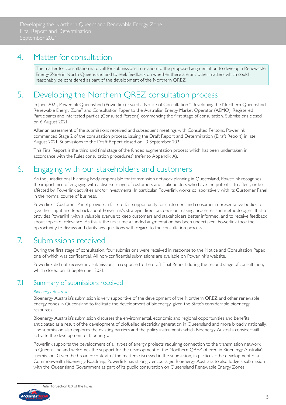### <span id="page-7-0"></span>4. Matter for consultation

The matter for consultation is to call for submissions in relation to the proposed augmentation to develop a Renewable Energy Zone in North Queensland and to seek feedback on whether there are any other matters which could reasonably be considered as part of the development of the Northern QREZ.

### 5. Developing the Northern QREZ consultation process

In June 2021, Powerlink Queensland (Powerlink) issued a Notice of Consultation "Developing the Northern Queensland Renewable Energy Zone" and Consultation Paper to the Australian Energy Market Operator (AEMO), Registered Participants and interested parties (Consulted Persons) commencing the first stage of consultation. Submissions closed on 6 August 2021.

After an assessment of the submissions received and subsequent meetings with Consulted Persons, Powerlink commenced Stage 2 of the consultation process, issuing the Draft Report and Determination (Draft Report) in late August 2021. Submissions to the Draft Report closed on 13 September 2021.

This Final Report is the third and final stage of the funded augmentation process which has been undertaken in accordance with the Rules consultation procedures<sup>5</sup> (refer to Appendix A).

### 6. Engaging with our stakeholders and customers

As the Jurisdictional Planning Body responsible for transmission network planning in Queensland, Powerlink recognises the importance of engaging with a diverse range of customers and stakeholders who have the potential to affect, or be affected by, Powerlink activities and/or investments. In particular, Powerlink works collaboratively with its Customer Panel in the normal course of business.

Powerlink's Customer Panel provides a face-to-face opportunity for customers and consumer representative bodies to give their input and feedback about Powerlink's strategic direction, decision making, processes and methodologies. It also provides Powerlink with a valuable avenue to keep customers and stakeholders better informed, and to receive feedback about topics of relevance. As this is the first time a funded augmentation has been undertaken, Powerlink took the opportunity to discuss and clarify any questions with regard to the consultation process.

### 7. Submissions received

During the first stage of consultation, four submissions were received in response to the Notice and Consultation Paper, one of which was confidential. All non-confidential submissions are available on Powerlink's website.

Powerlink did not receive any submissions in response to the draft Final Report during the second stage of consultation, which closed on 13 September 2021.

### 7.1 Summary of submissions received

#### *Bioenergy Australia*

Bioenergy Australia's submission is very supportive of the development of the Northern QREZ and other renewable energy zones in Queensland to facilitate the development of bioenergy, given the State's considerable bioenergy resources.

Bioenergy Australia's submission discusses the environmental, economic and regional opportunities and benefits anticipated as a result of the development of biofuelled electricity generation in Queensland and more broadly nationally. The submission also explores the existing barriers and the policy instruments which Bioenergy Australia consider will activate the development of bioenergy.

Powerlink supports the development of all types of energy projects requiring connection to the transmission network in Queensland and welcomes the support for the development of the Northern QREZ offered in Bioenergy Australia's submission. Given the broader context of the matters discussed in the submission, in particular the development of a Commonwealth Bioenergy Roadmap, Powerlink has strongly encouraged Bioenergy Australia to also lodge a submission with the Queensland Government as part of its public consultation on Queensland Renewable Energy Zones.

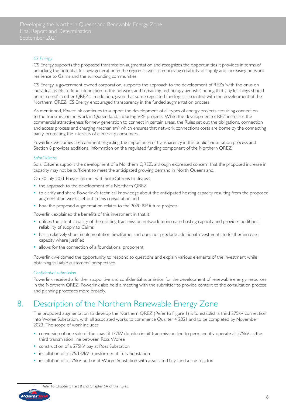#### <span id="page-8-0"></span>*CS Energy*

CS Energy supports the proposed transmission augmentation and recognizes the opportunities it provides in terms of unlocking the potential for new generation in the region as well as improving reliability of supply and increasing network resilience to Cairns and the surrounding communities.

CS Energy, a government owned corporation, supports the approach to the development of REZs 'with the onus on individual assets to fund connection to the network and remaining technology agnostic' noting that 'any learnings should be mirrored' in other QREZs. In addition, given that some regulated funding is associated with the development of the Northern QREZ, CS Energy encouraged transparency in the funded augmentation process.

As mentioned, Powerlink continues to support the development of all types of energy projects requiring connection to the transmission network in Queensland, including VRE projects. While the development of REZ increases the commercial attractiveness for new generation to connect in certain areas, the Rules set out the obligations, connection and access process and charging mechanism<sup>6</sup> which ensures that network connections costs are borne by the connecting party, protecting the interests of electricity consumers.

Powerlink welcomes the comment regarding the importance of transparency in this public consultation process and Section 8 provides additional information on the regulated funding component of the Northern QREZ.

#### *SolarCitizens*

SolarCitizens support the development of a Northern QREZ, although expressed concern that the proposed increase in capacity may not be sufficient to meet the anticipated growing demand in North Queensland.

On 30 July 2021 Powerlink met with SolarCitizens to discuss:

- the approach to the development of a Northern QREZ
- to clarify and share Powerlink's technical knowledge about the anticipated hosting capacity resulting from the proposed augmentation works set out in this consultation and
- how the proposed augmentation relates to the 2020 ISP future projects.

Powerlink explained the benefits of this investment in that it:

- utilises the latent capacity of the existing transmission network to increase hosting capacity and provides additional reliability of supply to Cairns
- has a relatively short implementation timeframe, and does not preclude additional investments to further increase capacity where justified
- allows for the connection of a foundational proponent.

Powerlink welcomed the opportunity to respond to questions and explain various elements of the investment while obtaining valuable customers' perspectives.

#### *Confidential submission*

Powerlink received a further supportive and confidential submission for the development of renewable energy resources in the Northern QREZ. Powerlink also held a meeting with the submitter to provide context to the consultation process and planning processes more broadly.

### 8. Description of the Northern Renewable Energy Zone

The proposed augmentation to develop the Northern QREZ (Refer to Figure 1) is to establish a third 275kV connection into Woree Substation, with all associated works to commence Quarter 4 2021 and to be completed by November 2023. The scope of work includes:

- conversion of one side of the coastal 132kV double circuit transmission line to permanently operate at 275kV as the third transmission line between Ross Woree
- construction of a 275kV bay at Ross Substation
- installation of a 275/132kV transformer at Tully Substation
- installation of a 275kV busbar at Woree Substation with associated bays and a line reactor.



Refer to Chapter 5 Part B and Chapter 6A of the Rules.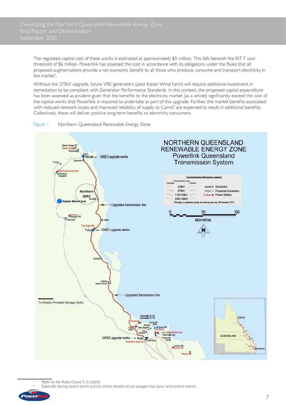The regulated capital cost of these works is estimated at approximately \$5 million. This falls beneath the RIT-T cost threshold of \$6 million. Powerlink has assessed the cost in accordance with its obligations under the Rules that all proposed augmentations provide a net economic benefit to all those who produce, consume and transport electricity in the market<sup>7</sup>. .

Without the 275kV upgrade, future VRE generators (post Kaban Wind Farm) will require additional investment in remediation to be compliant with Generator Performance Standards. In this context, the proposed capital expenditure has been assessed as prudent given that the benefits to the electricity market (as a whole) significantly exceed the cost of the capital works that Powerlink is required to undertake as part of this upgrade. Further, the market benefits associated with reduced network losses and improved reliability of supply to Cairns<sup>8</sup> are expected to result in additional benefits. Collectively, these will deliver positive long term benefits to electricity consumers.



#### Figure 1 Northern Queensland Renewable Energy Zone

Especially during severe storm activity where double circuit outages may occur and cyclone events.



Refer to the Rules Clause 5.12.1(b)(4).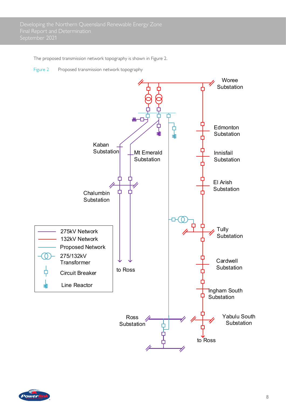The proposed transmission network topography is shown in Figure 2.

Figure 2 Proposed transmission network topography



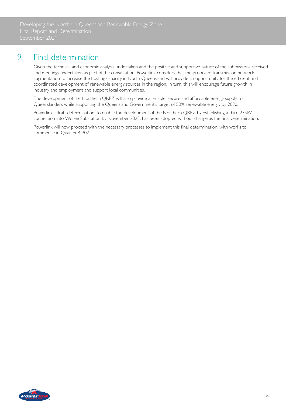### <span id="page-11-0"></span>9. Final determination

Given the technical and economic analysis undertaken and the positive and supportive nature of the submissions received and meetings undertaken as part of the consultation, Powerlink considers that the proposed transmission network augmentation to increase the hosting capacity in North Queensland will provide an opportunity for the efficient and coordinated development of renewable energy sources in the region. In turn, this will encourage future growth in industry and employment and support local communities.

The development of the Northern QREZ will also provide a reliable, secure and affordable energy supply to Queenslanders while supporting the Queensland Government's target of 50% renewable energy by 2030.

Powerlink's draft determination, to enable the development of the Northern QREZ by establishing a third 275kV connection into Woree Substation by November 2023, has been adopted without change as the final determination.

Powerlink will now proceed with the necessary processes to implement this final determination, with works to commence in Quarter 4 2021.

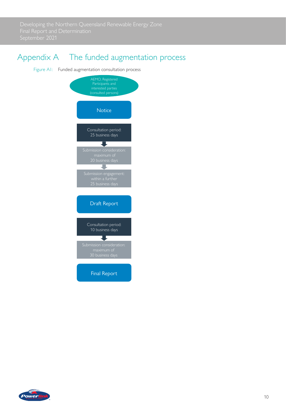<span id="page-12-0"></span>

### Appendix A The funded augmentation process

Figure A1: Funded augmentation consultation process



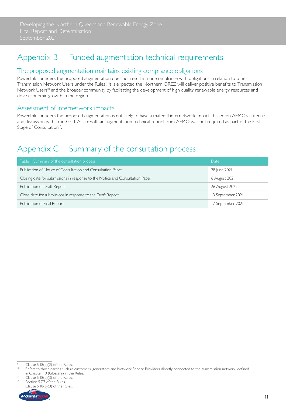### <span id="page-13-0"></span>Appendix B Funded augmentation technical requirements

#### The proposed augmentation maintains existing compliance obligations

Powerlink considers the proposed augmentation does not result in non-compliance with obligations in relation to other Transmission Network Users under the Rules<sup>9</sup>. It is expected the Northern QREZ will deliver positive benefits to Transmission Network Users<sup>10</sup> and the broader community by facilitating the development of high quality renewable energy resources and drive economic growth in the region.

#### Assessment of internetwork impacts

Powerlink considers the proposed augmentation is not likely to have a material internetwork impact<sup>11</sup> based on AEMO's criteria<sup>12</sup> and discussion with TransGrid. As a result, an augmentation technical report from AEMO was not required as part of the First Stage of Consultation<sup>13</sup>.

## Appendix C Summary of the consultation process

| Table 1: Summary of the consultation process                                  | Date              |
|-------------------------------------------------------------------------------|-------------------|
| Publication of Notice of Consultation and Consultation Paper                  | 28 June 2021      |
| Closing date for submissions in response to the Notice and Consultation Paper | 6 August 2021     |
| Publication of Draft Report                                                   | 26 August 2021    |
| Close date for submissions in response to the Draft Report                    | 13 September 2021 |
| Publication of Final Report                                                   | 17 September 2021 |

Clause  $5.18(b)(3)$  of the Rules.



 $\frac{9}{10}$  Clause 5.18(b)(2) of the Rules.

Refers to those parties such as customers, generators and Network Service Providers directly connected to the transmission network, defined in Chapter 10 (Glossary) in the Rules.<br>
<sup>11</sup> Clause 5.18(b)(3) of the Rules.<br>
<sup>12</sup> Continue 5.77 of the Rules.

Section 5.7.7 of the Rules.